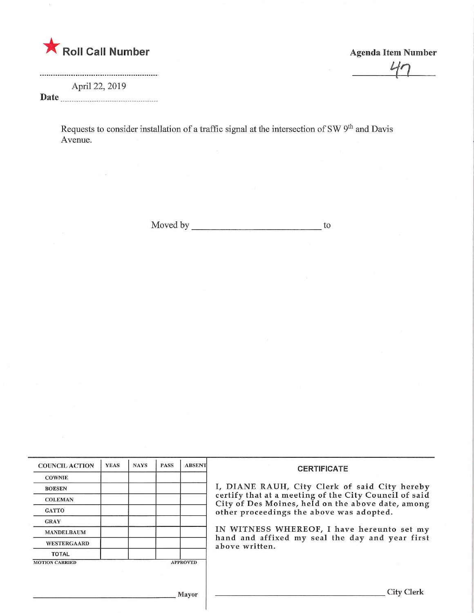

Agenda Item Number

 $\frac{1}{\sqrt{2}}$ 

April 22, 2019 Date

> Requests to consider installation of a traffic signal at the intersection of SW 9<sup>th</sup> and Davis Avenue.

> > Moved by to

| <b>COUNCIL ACTION</b>                    | <b>YEAS</b> | <b>NAYS</b> | <b>PASS</b> | <b>ABSENT</b> | <b>CERTIFICATE</b>                                                                                                                                     |  |  |  |  |
|------------------------------------------|-------------|-------------|-------------|---------------|--------------------------------------------------------------------------------------------------------------------------------------------------------|--|--|--|--|
| <b>COWNIE</b>                            |             |             |             |               |                                                                                                                                                        |  |  |  |  |
| <b>BOESEN</b>                            |             |             |             |               | I, DIANE RAUH, City Clerk of said City hereby                                                                                                          |  |  |  |  |
| <b>COLEMAN</b>                           |             |             |             |               | certify that at a meeting of the City Council of said<br>City of Des Moines, held on the above date, among<br>other proceedings the above was adopted. |  |  |  |  |
| <b>GATTO</b>                             |             |             |             |               |                                                                                                                                                        |  |  |  |  |
| <b>GRAY</b>                              |             |             |             |               |                                                                                                                                                        |  |  |  |  |
| <b>MANDELBAUM</b>                        |             |             |             |               | IN WITNESS WHEREOF, I have hereunto set my                                                                                                             |  |  |  |  |
| <b>WESTERGAARD</b>                       |             |             |             |               | hand and affixed my seal the day and year first<br>above written.                                                                                      |  |  |  |  |
| <b>TOTAL</b>                             |             |             |             |               |                                                                                                                                                        |  |  |  |  |
| <b>MOTION CARRIED</b><br><b>APPROVED</b> |             |             |             |               |                                                                                                                                                        |  |  |  |  |
|                                          |             |             |             |               |                                                                                                                                                        |  |  |  |  |
|                                          |             |             |             |               |                                                                                                                                                        |  |  |  |  |
|                                          |             |             |             | Mayor         | City C                                                                                                                                                 |  |  |  |  |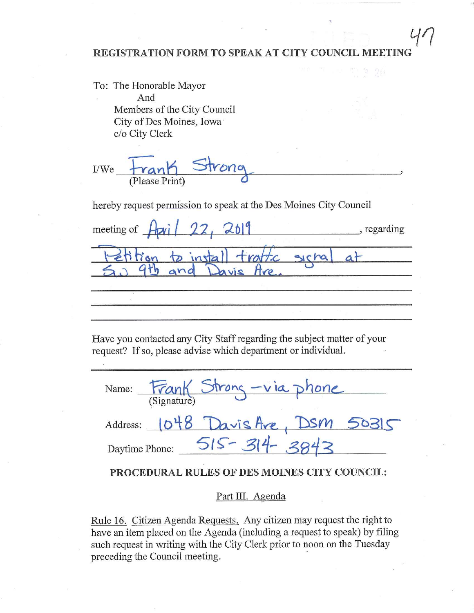## REGISTRATION FORM TO SPEAK AT CITY COUNCIL MEETING.^

To: The Honorable Mayor And Members of the City Council City of Des Moines, Iowa c/o City Clerk

 $I/We$  tranh  $V$ (Please Print)

hereby request permission to speak at the Des Moines City Council

meeting of  $\frac{1}{\sqrt{2}}$  /  $\frac{22}{\sqrt{6}}$  /  $\frac{26}{\sqrt{4}}$  /  $\frac{6}{\sqrt{4}}$  regarding  $l$ - $e\hbar$   $\hat{n}$  on  $p$  install traftic sichal at  $50$  4th and Davis Hre.

Have you contacted any City Staff regarding the subject matter of your request? If so, please advise which department or individual.

| Name:          | (Signature) | Frank Strong-via phone |  |
|----------------|-------------|------------------------|--|
| Address:       |             | Davis Are, DSM         |  |
| Daytime Phone: |             |                        |  |

## PROCEDURAL RULES OF DES MOINES CITY COUNCIL:

## Part III. Agenda

Rule 16. Citizen Agenda Requests. Any citizen may request the right to have an item placed on the Agenda (including a request to speak) by filing such request in writing with the City Clerk prior to noon on the Tuesday preceding the Council meeting.